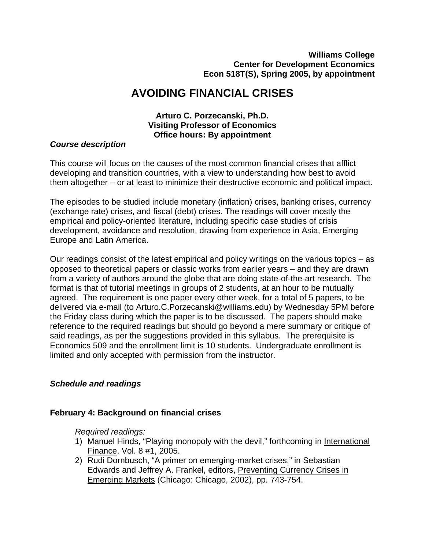# **AVOIDING FINANCIAL CRISES**

### **Arturo C. Porzecanski, Ph.D. Visiting Professor of Economics Office hours: By appointment**

#### *Course description*

This course will focus on the causes of the most common financial crises that afflict developing and transition countries, with a view to understanding how best to avoid them altogether – or at least to minimize their destructive economic and political impact.

The episodes to be studied include monetary (inflation) crises, banking crises, currency (exchange rate) crises, and fiscal (debt) crises. The readings will cover mostly the empirical and policy-oriented literature, including specific case studies of crisis development, avoidance and resolution, drawing from experience in Asia, Emerging Europe and Latin America.

Our readings consist of the latest empirical and policy writings on the various topics – as opposed to theoretical papers or classic works from earlier years – and they are drawn from a variety of authors around the globe that are doing state-of-the-art research. The format is that of tutorial meetings in groups of 2 students, at an hour to be mutually agreed. The requirement is one paper every other week, for a total of 5 papers, to be delivered via e-mail (to Arturo.C.Porzecanski@williams.edu) by Wednesday 5PM before the Friday class during which the paper is to be discussed. The papers should make reference to the required readings but should go beyond a mere summary or critique of said readings, as per the suggestions provided in this syllabus. The prerequisite is Economics 509 and the enrollment limit is 10 students. Undergraduate enrollment is limited and only accepted with permission from the instructor.

#### *Schedule and readings*

#### **February 4: Background on financial crises**

*Required readings:*

- 1) Manuel Hinds, "Playing monopoly with the devil," forthcoming in International Finance, Vol. 8 #1, 2005.
- 2) Rudi Dornbusch, "A primer on emerging-market crises," in Sebastian Edwards and Jeffrey A. Frankel, editors, Preventing Currency Crises in Emerging Markets (Chicago: Chicago, 2002), pp. 743-754.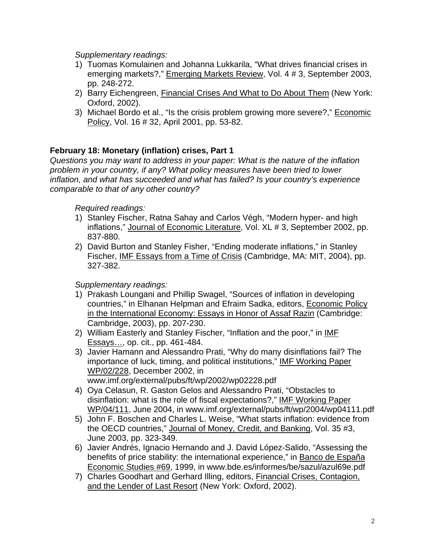*Supplementary readings:*

- 1) Tuomas Komulainen and Johanna Lukkarila, "What drives financial crises in emerging markets?," Emerging Markets Review, Vol. 4 # 3, September 2003, pp. 248-272.
- 2) Barry Eichengreen, Financial Crises And What to Do About Them (New York: Oxford, 2002).
- 3) Michael Bordo et al., "Is the crisis problem growing more severe?," Economic Policy, Vol. 16 # 32, April 2001, pp. 53-82.

# **February 18: Monetary (inflation) crises, Part 1**

*Questions you may want to address in your paper: What is the nature of the inflation problem in your country, if any? What policy measures have been tried to lower inflation, and what has succeeded and what has failed? Is your country's experience comparable to that of any other country?* 

### *Required readings:*

- 1) Stanley Fischer, Ratna Sahay and Carlos Végh, "Modern hyper- and high inflations," Journal of Economic Literature, Vol. XL # 3, September 2002, pp. 837-880.
- 2) David Burton and Stanley Fisher, "Ending moderate inflations," in Stanley Fischer, IMF Essays from a Time of Crisis (Cambridge, MA: MIT, 2004), pp. 327-382.

- 1) Prakash Loungani and Phillip Swagel, "Sources of inflation in developing countries," in Elhanan Helpman and Efraim Sadka, editors, Economic Policy in the International Economy: Essays in Honor of Assaf Razin (Cambridge: Cambridge, 2003), pp. 207-230.
- 2) William Easterly and Stanley Fischer, "Inflation and the poor," in IMF Essays…, op. cit., pp. 461-484.
- 3) Javier Hamann and Alessandro Prati, "Why do many disinflations fail? The importance of luck, timing, and political institutions," IMF Working Paper WP/02/228, December 2002, in www.imf.org/external/pubs/ft/wp/2002/wp02228.pdf
- 4) Oya Celasun, R. Gaston Gelos and Alessandro Prati, "Obstacles to disinflation: what is the role of fiscal expectations?," IMF Working Paper WP/04/111, June 2004, in www.imf.org/external/pubs/ft/wp/2004/wp04111.pdf
- 5) John F. Boschen and Charles L. Weise, "What starts inflation: evidence from the OECD countries," Journal of Money, Credit, and Banking, Vol. 35 #3, June 2003, pp. 323-349.
- 6) Javier Andrés, Ignacio Hernando and J. David López-Salido, "Assessing the benefits of price stability: the international experience," in Banco de España Economic Studies #69, 1999, in www.bde.es/informes/be/sazul/azul69e.pdf
- 7) Charles Goodhart and Gerhard Illing, editors, Financial Crises, Contagion, and the Lender of Last Resort (New York: Oxford, 2002).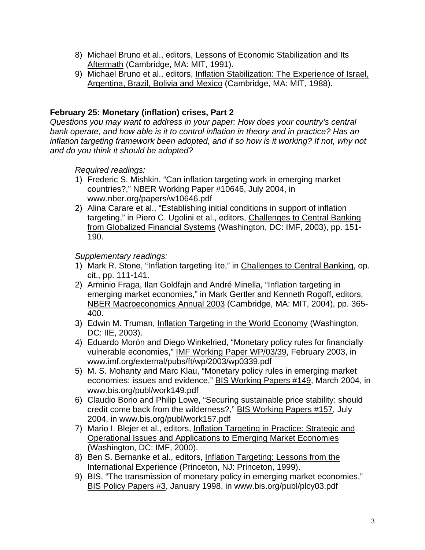- 8) Michael Bruno et al., editors, Lessons of Economic Stabilization and Its Aftermath (Cambridge, MA: MIT, 1991).
- 9) Michael Bruno et al., editors, Inflation Stabilization: The Experience of Israel, Argentina, Brazil, Bolivia and Mexico (Cambridge, MA: MIT, 1988).

# **February 25: Monetary (inflation) crises, Part 2**

*Questions you may want to address in your paper: How does your country's central bank operate, and how able is it to control inflation in theory and in practice? Has an inflation targeting framework been adopted, and if so how is it working? If not, why not and do you think it should be adopted?* 

### *Required readings:*

- 1) Frederic S. Mishkin, "Can inflation targeting work in emerging market countries?," NBER Working Paper #10646, July 2004, in www.nber.org/papers/w10646.pdf
- 2) Alina Carare et al., "Establishing initial conditions in support of inflation targeting," in Piero C. Ugolini et al., editors, Challenges to Central Banking from Globalized Financial Systems (Washington, DC: IMF, 2003), pp. 151- 190.

- 1) Mark R. Stone, "Inflation targeting lite," in Challenges to Central Banking, op. cit., pp. 111-141.
- 2) Arminio Fraga, Ilan Goldfajn and André Minella, "Inflation targeting in emerging market economies," in Mark Gertler and Kenneth Rogoff, editors, NBER Macroeconomics Annual 2003 (Cambridge, MA: MIT, 2004), pp. 365- 400.
- 3) Edwin M. Truman, Inflation Targeting in the World Economy (Washington, DC: IIE, 2003).
- 4) Eduardo Morón and Diego Winkelried, "Monetary policy rules for financially vulnerable economies," IMF Working Paper WP/03/39, February 2003, in www.imf.org/external/pubs/ft/wp/2003/wp0339.pdf
- 5) M. S. Mohanty and Marc Klau, "Monetary policy rules in emerging market economies: issues and evidence," BIS Working Papers #149, March 2004, in www.bis.org/publ/work149.pdf
- 6) Claudio Borio and Philip Lowe, "Securing sustainable price stability: should credit come back from the wilderness?," BIS Working Papers #157, July 2004, in www.bis.org/publ/work157.pdf
- 7) Mario I. Blejer et al., editors, Inflation Targeting in Practice: Strategic and Operational Issues and Applications to Emerging Market Economies (Washington, DC: IMF, 2000).
- 8) Ben S. Bernanke et al., editors, Inflation Targeting: Lessons from the International Experience (Princeton, NJ: Princeton, 1999).
- 9) BIS, "The transmission of monetary policy in emerging market economies," BIS Policy Papers #3, January 1998, in www.bis.org/publ/plcy03.pdf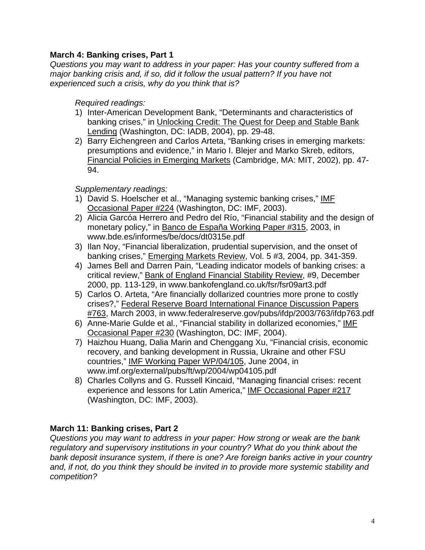### **March 4: Banking crises, Part 1**

*Questions you may want to address in your paper: Has your country suffered from a major banking crisis and, if so, did it follow the usual pattern? If you have not experienced such a crisis, why do you think that is?* 

#### *Required readings:*

- 1) Inter-American Development Bank, "Determinants and characteristics of banking crises," in Unlocking Credit: The Quest for Deep and Stable Bank Lending (Washington, DC: IADB, 2004), pp. 29-48.
- 2) Barry Eichengreen and Carlos Arteta, "Banking crises in emerging markets: presumptions and evidence," in Mario I. Blejer and Marko Skreb, editors, Financial Policies in Emerging Markets (Cambridge, MA: MIT, 2002), pp. 47- 94.

#### *Supplementary readings:*

- 1) David S. Hoelscher et al., "Managing systemic banking crises," IMF Occasional Paper #224 (Washington, DC: IMF, 2003).
- 2) Alicia Garcóa Herrero and Pedro del Río, "Financial stability and the design of monetary policy," in Banco de España Working Paper #315, 2003, in www.bde.es/informes/be/docs/dt0315e.pdf
- 3) Ilan Noy, "Financial liberalization, prudential supervision, and the onset of banking crises," Emerging Markets Review, Vol. 5 #3, 2004, pp. 341-359.
- 4) James Bell and Darren Pain, "Leading indicator models of banking crises: a critical review," Bank of England Financial Stability Review, #9, December 2000, pp. 113-129, in www.bankofengland.co.uk/fsr/fsr09art3.pdf
- 5) Carlos O. Arteta, "Are financially dollarized countries more prone to costly crises?," Federal Reserve Board International Finance Discussion Papers #763, March 2003, in www.federalreserve.gov/pubs/ifdp/2003/763/ifdp763.pdf
- 6) Anne-Marie Gulde et al., "Financial stability in dollarized economies," IMF Occasional Paper #230 (Washington, DC: IMF, 2004).
- 7) Haizhou Huang, Dalia Marin and Chenggang Xu, "Financial crisis, economic recovery, and banking development in Russia, Ukraine and other FSU countries," IMF Working Paper WP/04/105, June 2004, in www.imf.org/external/pubs/ft/wp/2004/wp04105.pdf
- 8) Charles Collyns and G. Russell Kincaid, "Managing financial crises: recent experience and lessons for Latin America," IMF Occasional Paper #217 (Washington, DC: IMF, 2003).

### **March 11: Banking crises, Part 2**

*Questions you may want to address in your paper: How strong or weak are the bank regulatory and supervisory institutions in your country? What do you think about the bank deposit insurance system, if there is one? Are foreign banks active in your country and, if not, do you think they should be invited in to provide more systemic stability and competition?*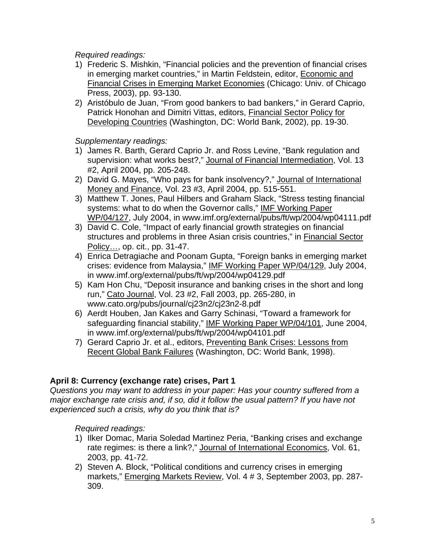*Required readings:*

- 1) Frederic S. Mishkin, "Financial policies and the prevention of financial crises in emerging market countries," in Martin Feldstein, editor, Economic and Financial Crises in Emerging Market Economies (Chicago: Univ. of Chicago Press, 2003), pp. 93-130.
- 2) Aristóbulo de Juan, "From good bankers to bad bankers," in Gerard Caprio, Patrick Honohan and Dimitri Vittas, editors, *Financial Sector Policy for* Developing Countries (Washington, DC: World Bank, 2002), pp. 19-30.

*Supplementary readings:*

- 1) James R. Barth, Gerard Caprio Jr. and Ross Levine, "Bank regulation and supervision: what works best?," Journal of Financial Intermediation, Vol. 13 #2, April 2004, pp. 205-248.
- 2) David G. Mayes, "Who pays for bank insolvency?," Journal of International Money and Finance, Vol. 23 #3, April 2004, pp. 515-551.
- 3) Matthew T. Jones, Paul Hilbers and Graham Slack, "Stress testing financial systems: what to do when the Governor calls," IMF Working Paper WP/04/127, July 2004, in www.imf.org/external/pubs/ft/wp/2004/wp04111.pdf
- 3) David C. Cole, "Impact of early financial growth strategies on financial structures and problems in three Asian crisis countries," in Financial Sector Policy…, op. cit., pp. 31-47.
- 4) Enrica Detragiache and Poonam Gupta, "Foreign banks in emerging market crises: evidence from Malaysia," IMF Working Paper WP/04/129, July 2004, in www.imf.org/external/pubs/ft/wp/2004/wp04129.pdf
- 5) Kam Hon Chu, "Deposit insurance and banking crises in the short and long run," Cato Journal, Vol. 23 #2, Fall 2003, pp. 265-280, in www.cato.org/pubs/journal/cj23n2/cj23n2-8.pdf
- 6) Aerdt Houben, Jan Kakes and Garry Schinasi, "Toward a framework for safeguarding financial stability," IMF Working Paper WP/04/101, June 2004, in www.imf.org/external/pubs/ft/wp/2004/wp04101.pdf
- 7) Gerard Caprio Jr. et al., editors, Preventing Bank Crises: Lessons from Recent Global Bank Failures (Washington, DC: World Bank, 1998).

# **April 8: Currency (exchange rate) crises, Part 1**

*Questions you may want to address in your paper: Has your country suffered from a major exchange rate crisis and, if so, did it follow the usual pattern? If you have not experienced such a crisis, why do you think that is?* 

*Required readings:*

- 1) Ilker Domac, Maria Soledad Martinez Peria, "Banking crises and exchange rate regimes: is there a link?," Journal of International Economics, Vol. 61, 2003, pp. 41-72.
- 2) Steven A. Block, "Political conditions and currency crises in emerging markets," Emerging Markets Review, Vol. 4 # 3, September 2003, pp. 287- 309.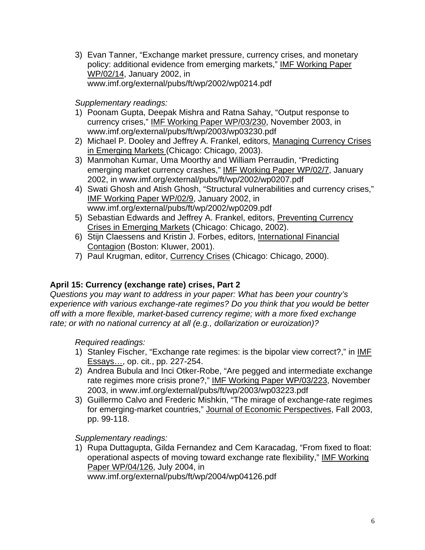3) Evan Tanner, "Exchange market pressure, currency crises, and monetary policy: additional evidence from emerging markets," IMF Working Paper WP/02/14, January 2002, in www.imf.org/external/pubs/ft/wp/2002/wp0214.pdf

*Supplementary readings:*

- 1) Poonam Gupta, Deepak Mishra and Ratna Sahay, "Output response to currency crises," IMF Working Paper WP/03/230, November 2003, in www.imf.org/external/pubs/ft/wp/2003/wp03230.pdf
- 2) Michael P. Dooley and Jeffrey A. Frankel, editors, Managing Currency Crises in Emerging Markets (Chicago: Chicago, 2003).
- 3) Manmohan Kumar, Uma Moorthy and William Perraudin, "Predicting emerging market currency crashes," IMF Working Paper WP/02/7, January 2002, in www.imf.org/external/pubs/ft/wp/2002/wp0207.pdf
- 4) Swati Ghosh and Atish Ghosh, "Structural vulnerabilities and currency crises," IMF Working Paper WP/02/9, January 2002, in www.imf.org/external/pubs/ft/wp/2002/wp0209.pdf
- 5) Sebastian Edwards and Jeffrey A. Frankel, editors, Preventing Currency Crises in Emerging Markets (Chicago: Chicago, 2002).
- 6) Stijn Claessens and Kristin J. Forbes, editors, International Financial Contagion (Boston: Kluwer, 2001).
- 7) Paul Krugman, editor, Currency Crises (Chicago: Chicago, 2000).

# **April 15: Currency (exchange rate) crises, Part 2**

*Questions you may want to address in your paper: What has been your country's experience with various exchange-rate regimes? Do you think that you would be better off with a more flexible, market-based currency regime; with a more fixed exchange rate; or with no national currency at all (e.g., dollarization or euroization)?*

*Required readings:* 

- 1) Stanley Fischer, "Exchange rate regimes: is the bipolar view correct?," in IMF Essays…, op. cit., pp. 227-254.
- 2) Andrea Bubula and Inci Otker-Robe, "Are pegged and intermediate exchange rate regimes more crisis prone?," IMF Working Paper WP/03/223, November 2003, in www.imf.org/external/pubs/ft/wp/2003/wp03223.pdf
- 3) Guillermo Calvo and Frederic Mishkin, "The mirage of exchange-rate regimes for emerging-market countries," Journal of Economic Perspectives, Fall 2003, pp. 99-118.

*Supplementary readings:* 

1) Rupa Duttagupta, Gilda Fernandez and Cem Karacadag, "From fixed to float: operational aspects of moving toward exchange rate flexibility," IMF Working Paper WP/04/126, July 2004, in

www.imf.org/external/pubs/ft/wp/2004/wp04126.pdf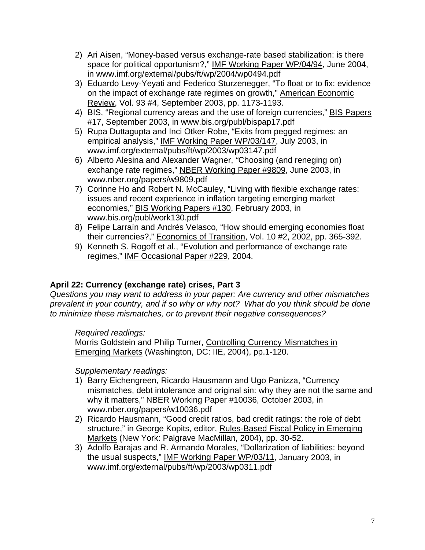- 2) Ari Aisen, "Money-based versus exchange-rate based stabilization: is there space for political opportunism?," IMF Working Paper WP/04/94, June 2004, in www.imf.org/external/pubs/ft/wp/2004/wp0494.pdf
- 3) Eduardo Levy-Yeyati and Federico Sturzenegger, "To float or to fix: evidence on the impact of exchange rate regimes on growth," American Economic Review, Vol. 93 #4, September 2003, pp. 1173-1193.
- 4) BIS, "Regional currency areas and the use of foreign currencies," BIS Papers #17, September 2003, in www.bis.org/publ/bispap17.pdf
- 5) Rupa Duttagupta and Inci Otker-Robe, "Exits from pegged regimes: an empirical analysis," IMF Working Paper WP/03/147, July 2003, in www.imf.org/external/pubs/ft/wp/2003/wp03147.pdf
- 6) Alberto Alesina and Alexander Wagner, *"*Choosing (and reneging on) exchange rate regimes," NBER Working Paper #9809, June 2003, in www.nber.org/papers/w9809.pdf
- 7) Corinne Ho and Robert N. McCauley, "Living with flexible exchange rates: issues and recent experience in inflation targeting emerging market economies," BIS Working Papers #130, February 2003, in www.bis.org/publ/work130.pdf
- 8) Felipe Larraín and Andrés Velasco, "How should emerging economies float their currencies?," Economics of Transition, Vol. 10 #2, 2002, pp. 365-392.
- 9) Kenneth S. Rogoff et al., "Evolution and performance of exchange rate regimes," IMF Occasional Paper #229, 2004.

# **April 22: Currency (exchange rate) crises, Part 3**

*Questions you may want to address in your paper: Are currency and other mismatches prevalent in your country, and if so why or why not? What do you think should be done to minimize these mismatches, or to prevent their negative consequences?*

*Required readings:* 

Morris Goldstein and Philip Turner, Controlling Currency Mismatches in Emerging Markets (Washington, DC: IIE, 2004), pp.1-120.

- 1) Barry Eichengreen, Ricardo Hausmann and Ugo Panizza, "Currency mismatches, debt intolerance and original sin: why they are not the same and why it matters," NBER Working Paper #10036, October 2003, in www.nber.org/papers/w10036.pdf
- 2) Ricardo Hausmann, "Good credit ratios, bad credit ratings: the role of debt structure," in George Kopits, editor, Rules-Based Fiscal Policy in Emerging Markets (New York: Palgrave MacMillan, 2004), pp. 30-52.
- 3) Adolfo Barajas and R. Armando Morales, "Dollarization of liabilities: beyond the usual suspects," IMF Working Paper WP/03/11, January 2003, in www.imf.org/external/pubs/ft/wp/2003/wp0311.pdf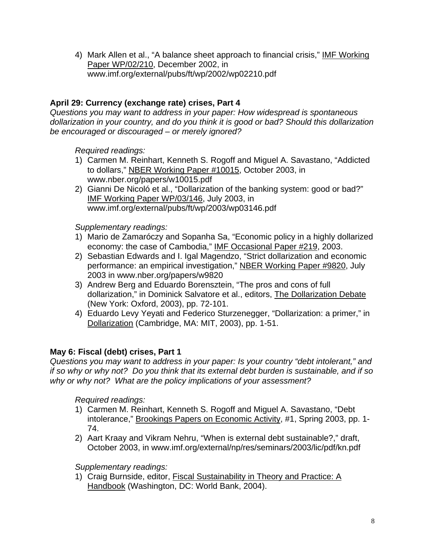4) Mark Allen et al., "A balance sheet approach to financial crisis," IMF Working Paper WP/02/210, December 2002, in www.imf.org/external/pubs/ft/wp/2002/wp02210.pdf

# **April 29: Currency (exchange rate) crises, Part 4**

*Questions you may want to address in your paper: How widespread is spontaneous dollarization in your country, and do you think it is good or bad? Should this dollarization be encouraged or discouraged – or merely ignored?* 

### *Required readings:*

- 1) Carmen M. Reinhart, Kenneth S. Rogoff and Miguel A. Savastano, "Addicted to dollars," NBER Working Paper #10015, October 2003, in www.nber.org/papers/w10015.pdf
- 2) Gianni De Nicoló et al., "Dollarization of the banking system: good or bad?" IMF Working Paper WP/03/146, July 2003, in www.imf.org/external/pubs/ft/wp/2003/wp03146.pdf

### *Supplementary readings:*

- 1) Mario de Zamaróczy and Sopanha Sa, "Economic policy in a highly dollarized economy: the case of Cambodia," IMF Occasional Paper #219, 2003.
- 2) Sebastian Edwards and I. Igal Magendzo, "Strict dollarization and economic performance: an empirical investigation," NBER Working Paper #9820, July 2003 in www.nber.org/papers/w9820
- 3) Andrew Berg and Eduardo Borensztein, "The pros and cons of full dollarization," in Dominick Salvatore et al., editors, The Dollarization Debate (New York: Oxford, 2003), pp. 72-101.
- 4) Eduardo Levy Yeyati and Federico Sturzenegger, "Dollarization: a primer," in Dollarization (Cambridge, MA: MIT, 2003), pp. 1-51.

# **May 6: Fiscal (debt) crises, Part 1**

*Questions you may want to address in your paper: Is your country "debt intolerant," and if so why or why not? Do you think that its external debt burden is sustainable, and if so why or why not? What are the policy implications of your assessment?*

# *Required readings:*

- 1) Carmen M. Reinhart, Kenneth S. Rogoff and Miguel A. Savastano, "Debt intolerance," Brookings Papers on Economic Activity, #1, Spring 2003, pp. 1- 74.
- 2) Aart Kraay and Vikram Nehru, "When is external debt sustainable?," draft, October 2003, in www.imf.org/external/np/res/seminars/2003/lic/pdf/kn.pdf

# *Supplementary readings:*

1) Craig Burnside, editor, Fiscal Sustainability in Theory and Practice: A Handbook (Washington, DC: World Bank, 2004).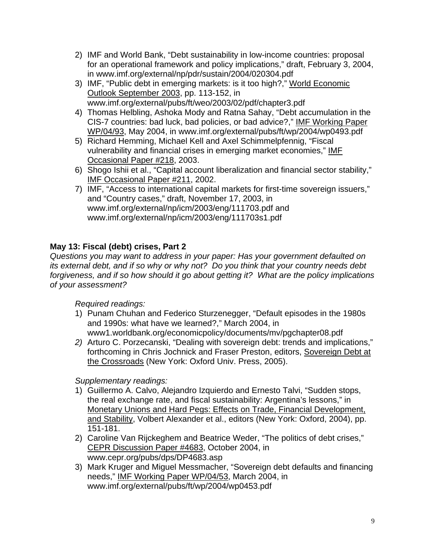- 2) IMF and World Bank, "Debt sustainability in low-income countries: proposal for an operational framework and policy implications," draft, February 3, 2004, in www.imf.org/external/np/pdr/sustain/2004/020304.pdf
- 3) IMF, "Public debt in emerging markets: is it too high?," World Economic Outlook September 2003, pp. 113-152, in www.imf.org/external/pubs/ft/weo/2003/02/pdf/chapter3.pdf
- 4) Thomas Helbling, Ashoka Mody and Ratna Sahay, "Debt accumulation in the CIS-7 countries: bad luck, bad policies, or bad advice?," IMF Working Paper WP/04/93, May 2004, in www.imf.org/external/pubs/ft/wp/2004/wp0493.pdf
- 5) Richard Hemming, Michael Kell and Axel Schimmelpfennig, "Fiscal vulnerability and financial crises in emerging market economies," IMF Occasional Paper #218, 2003.
- 6) Shogo Ishii et al., "Capital account liberalization and financial sector stability," IMF Occasional Paper #211, 2002.
- 7) IMF, "Access to international capital markets for first-time sovereign issuers," and "Country cases," draft, November 17, 2003, in www.imf.org/external/np/icm/2003/eng/111703.pdf and www.imf.org/external/np/icm/2003/eng/111703s1.pdf

# **May 13: Fiscal (debt) crises, Part 2**

*Questions you may want to address in your paper: Has your government defaulted on its external debt, and if so why or why not? Do you think that your country needs debt forgiveness, and if so how should it go about getting it? What are the policy implications of your assessment?*

*Required readings:* 

- 1) Punam Chuhan and Federico Sturzenegger, "Default episodes in the 1980s and 1990s: what have we learned?," March 2004, in www1.worldbank.org/economicpolicy/documents/mv/pgchapter08.pdf
- *2)* Arturo C. Porzecanski, "Dealing with sovereign debt: trends and implications," forthcoming in Chris Jochnick and Fraser Preston, editors, Sovereign Debt at the Crossroads (New York: Oxford Univ. Press, 2005).

- 1) Guillermo A. Calvo, Alejandro Izquierdo and Ernesto Talvi, "Sudden stops, the real exchange rate, and fiscal sustainability: Argentina's lessons," in Monetary Unions and Hard Pegs: Effects on Trade, Financial Development, and Stability, Volbert Alexander et al., editors (New York: Oxford, 2004), pp. 151-181.
- 2) Caroline Van Rijckeghem and Beatrice Weder, "The politics of debt crises," CEPR Discussion Paper #4683, October 2004, in www.cepr.org/pubs/dps/DP4683.asp
- 3) Mark Kruger and Miguel Messmacher, "Sovereign debt defaults and financing needs," IMF Working Paper WP/04/53, March 2004, in www.imf.org/external/pubs/ft/wp/2004/wp0453.pdf